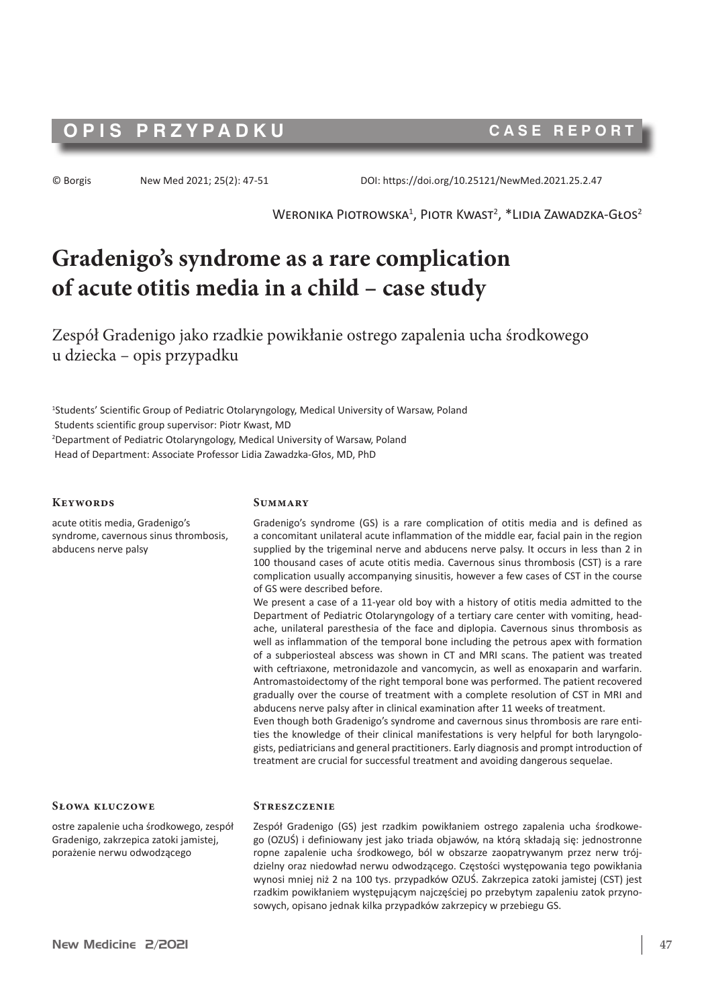# **OPIS PRZYPADKU CASE REPORT**

© Borgis New Med 2021; 25(2): 47-51 DOI: https://doi.org/10.25121/NewMed.2021.25.2.47

 $W$ eronika Piotrowska $^1$ , Piotr Kwast $^2$ ,  $^*$ Lidia Zawadzka-Głos $^2$ 

# **Gradenigo's syndrome as a rare complication of acute otitis media in a child – case study**

Zespół Gradenigo jako rzadkie powikłanie ostrego zapalenia ucha środkowego u dziecka – opis przypadku

1 Students' Scientific Group of Pediatric Otolaryngology, Medical University of Warsaw, Poland Students scientific group supervisor: Piotr Kwast, MD 2 Department of Pediatric Otolaryngology, Medical University of Warsaw, Poland Head of Department: Associate Professor Lidia Zawadzka-Głos, MD, PhD

#### **Keywords**

acute otitis media, Gradenigo's syndrome, cavernous sinus thrombosis, abducens nerve palsy

#### **Słowa kluczowe**

ostre zapalenie ucha środkowego, zespół Gradenigo, zakrzepica zatoki jamistej, porażenie nerwu odwodzącego

#### **Summary**

Gradenigo's syndrome (GS) is a rare complication of otitis media and is defined as a concomitant unilateral acute inflammation of the middle ear, facial pain in the region supplied by the trigeminal nerve and abducens nerve palsy. It occurs in less than 2 in 100 thousand cases of acute otitis media. Cavernous sinus thrombosis (CST) is a rare complication usually accompanying sinusitis, however a few cases of CST in the course of GS were described before.

We present a case of a 11-year old boy with a history of otitis media admitted to the Department of Pediatric Otolaryngology of a tertiary care center with vomiting, headache, unilateral paresthesia of the face and diplopia. Cavernous sinus thrombosis as well as inflammation of the temporal bone including the petrous apex with formation of a subperiosteal abscess was shown in CT and MRI scans. The patient was treated with ceftriaxone, metronidazole and vancomycin, as well as enoxaparin and warfarin. Antromastoidectomy of the right temporal bone was performed. The patient recovered gradually over the course of treatment with a complete resolution of CST in MRI and abducens nerve palsy after in clinical examination after 11 weeks of treatment.

Even though both Gradenigo's syndrome and cavernous sinus thrombosis are rare entities the knowledge of their clinical manifestations is very helpful for both laryngologists, pediatricians and general practitioners. Early diagnosis and prompt introduction of treatment are crucial for successful treatment and avoiding dangerous sequelae.

#### **Streszczenie**

Zespół Gradenigo (GS) jest rzadkim powikłaniem ostrego zapalenia ucha środkowego (OZUŚ) i definiowany jest jako triada objawów, na którą składają się: jednostronne ropne zapalenie ucha środkowego, ból w obszarze zaopatrywanym przez nerw trójdzielny oraz niedowład nerwu odwodzącego. Częstości występowania tego powikłania wynosi mniej niż 2 na 100 tys. przypadków OZUŚ. Zakrzepica zatoki jamistej (CST) jest rzadkim powikłaniem występującym najczęściej po przebytym zapaleniu zatok przynosowych, opisano jednak kilka przypadków zakrzepicy w przebiegu GS.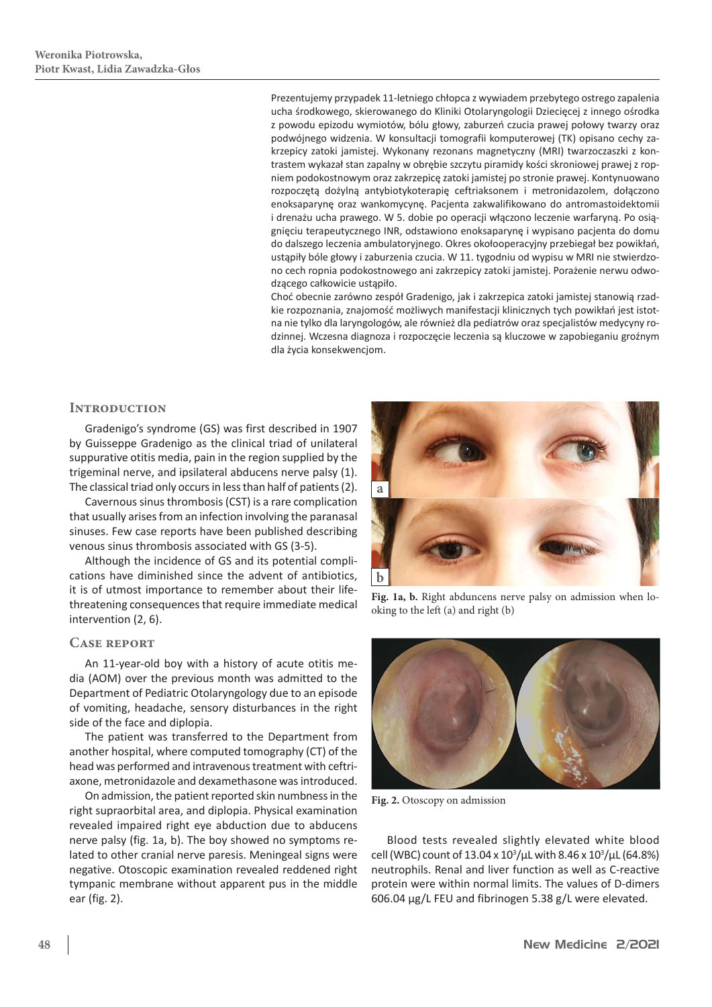Prezentujemy przypadek 11-letniego chłopca z wywiadem przebytego ostrego zapalenia ucha środkowego, skierowanego do Kliniki Otolaryngologii Dziecięcej z innego ośrodka z powodu epizodu wymiotów, bólu głowy, zaburzeń czucia prawej połowy twarzy oraz podwójnego widzenia. W konsultacji tomografii komputerowej (TK) opisano cechy zakrzepicy zatoki jamistej. Wykonany rezonans magnetyczny (MRI) twarzoczaszki z kontrastem wykazał stan zapalny w obrębie szczytu piramidy kości skroniowej prawej z ropniem podokostnowym oraz zakrzepicę zatoki jamistej po stronie prawej. Kontynuowano rozpoczętą dożylną antybiotykoterapię ceftriaksonem i metronidazolem, dołączono enoksaparynę oraz wankomycynę. Pacjenta zakwalifikowano do antromastoidektomii i drenażu ucha prawego. W 5. dobie po operacji włączono leczenie warfaryną. Po osiągnięciu terapeutycznego INR, odstawiono enoksaparynę i wypisano pacjenta do domu do dalszego leczenia ambulatoryjnego. Okres okołooperacyjny przebiegał bez powikłań, ustąpiły bóle głowy i zaburzenia czucia. W 11. tygodniu od wypisu w MRI nie stwierdzono cech ropnia podokostnowego ani zakrzepicy zatoki jamistej. Porażenie nerwu odwodzącego całkowicie ustąpiło.

Choć obecnie zarówno zespół Gradenigo, jak i zakrzepica zatoki jamistej stanowią rzadkie rozpoznania, znajomość możliwych manifestacji klinicznych tych powikłań jest istotna nie tylko dla laryngologów, ale również dla pediatrów oraz specjalistów medycyny rodzinnej. Wczesna diagnoza i rozpoczęcie leczenia są kluczowe w zapobieganiu groźnym dla życia konsekwencjom.

# **Introduction**

Gradenigo's syndrome (GS) was first described in 1907 by Guisseppe Gradenigo as the clinical triad of unilateral suppurative otitis media, pain in the region supplied by the trigeminal nerve, and ipsilateral abducens nerve palsy (1). The classical triad only occurs in less than half of patients(2).

Cavernous sinus thrombosis(CST) is a rare complication that usually arises from an infection involving the paranasal sinuses. Few case reports have been published describing venous sinus thrombosis associated with GS (3-5).

Although the incidence of GS and its potential complications have diminished since the advent of antibiotics, it is of utmost importance to remember about their lifethreatening consequences that require immediate medical intervention (2, 6).

### **Case report**

An 11-year-old boy with a history of acute otitis media (AOM) over the previous month was admitted to the Department of Pediatric Otolaryngology due to an episode of vomiting, headache, sensory disturbances in the right side of the face and diplopia.

The patient was transferred to the Department from another hospital, where computed tomography (CT) of the head was performed and intravenous treatment with ceftriaxone, metronidazole and dexamethasone was introduced.

On admission, the patient reported skin numbness in the right supraorbital area, and diplopia. Physical examination revealed impaired right eye abduction due to abducens nerve palsy (fig. 1a, b). The boy showed no symptoms related to other cranial nerve paresis. Meningeal signs were negative. Otoscopic examination revealed reddened right tympanic membrane without apparent pus in the middle ear (fig. 2).



**Fig. 1a, b.** Right abduncens nerve palsy on admission when looking to the left (a) and right (b)



**Fig. 2.** Otoscopy on admission

Blood tests revealed slightly elevated white blood cell (WBC) count of 13.04 x  $10^3/\mu$ L with 8.46 x  $10^3/\mu$ L (64.8%) neutrophils. Renal and liver function as well as C-reactive protein were within normal limits. The values of D-dimers 606.04 µg/L FEU and fibrinogen 5.38 g/L were elevated.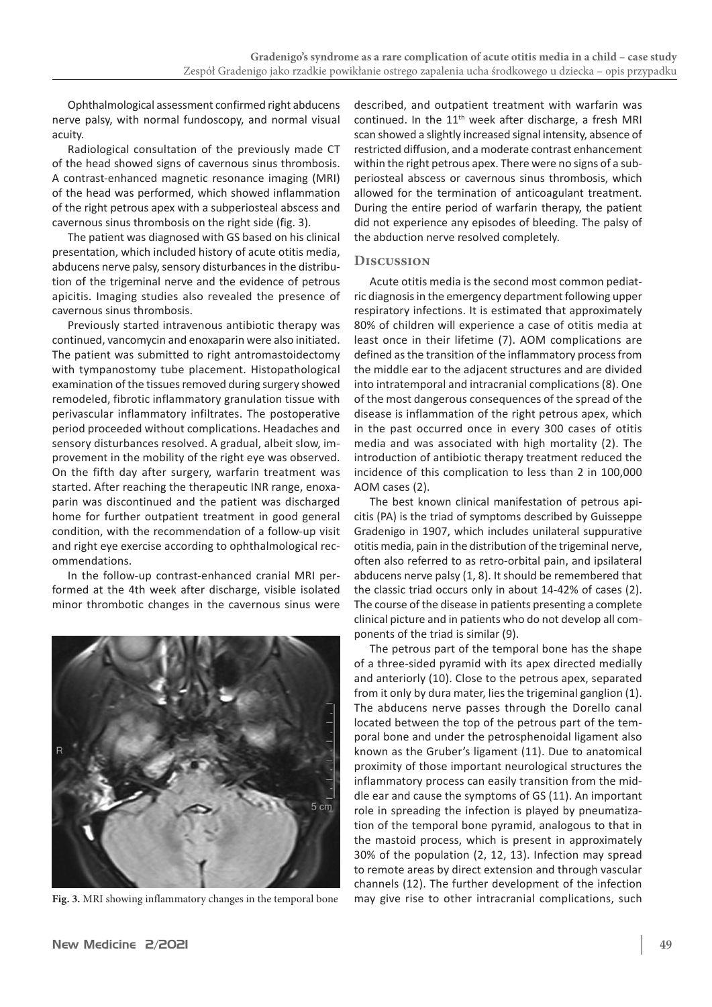Ophthalmological assessment confirmed right abducens nerve palsy, with normal fundoscopy, and normal visual acuity.

Radiological consultation of the previously made CT of the head showed signs of cavernous sinus thrombosis. A contrast-enhanced magnetic resonance imaging (MRI) of the head was performed, which showed inflammation of the right petrous apex with a subperiosteal abscess and cavernous sinus thrombosis on the right side (fig. 3).

The patient was diagnosed with GS based on his clinical presentation, which included history of acute otitis media, abducens nerve palsy, sensory disturbances in the distribution of the trigeminal nerve and the evidence of petrous apicitis. Imaging studies also revealed the presence of cavernous sinus thrombosis.

Previously started intravenous antibiotic therapy was continued, vancomycin and enoxaparin were also initiated. The patient was submitted to right antromastoidectomy with tympanostomy tube placement. Histopathological examination of the tissues removed during surgery showed remodeled, fibrotic inflammatory granulation tissue with perivascular inflammatory infiltrates. The postoperative period proceeded without complications. Headaches and sensory disturbances resolved. A gradual, albeit slow, improvement in the mobility of the right eye was observed. On the fifth day after surgery, warfarin treatment was started. After reaching the therapeutic INR range, enoxaparin was discontinued and the patient was discharged home for further outpatient treatment in good general condition, with the recommendation of a follow-up visit and right eye exercise according to ophthalmological recommendations.

In the follow-up contrast-enhanced cranial MRI performed at the 4th week after discharge, visible isolated minor thrombotic changes in the cavernous sinus were



**Fig. 3.** MRI showing inflammatory changes in the temporal bone

described, and outpatient treatment with warfarin was continued. In the 11<sup>th</sup> week after discharge, a fresh MRI scan showed a slightly increased signal intensity, absence of restricted diffusion, and a moderate contrast enhancement within the right petrous apex. There were no signs of a subperiosteal abscess or cavernous sinus thrombosis, which allowed for the termination of anticoagulant treatment. During the entire period of warfarin therapy, the patient did not experience any episodes of bleeding. The palsy of the abduction nerve resolved completely.

#### **Discussion**

Acute otitis media is the second most common pediatric diagnosis in the emergency department following upper respiratory infections. It is estimated that approximately 80% of children will experience a case of otitis media at least once in their lifetime (7). AOM complications are defined as the transition of the inflammatory process from the middle ear to the adjacent structures and are divided into intratemporal and intracranial complications (8). One of the most dangerous consequences of the spread of the disease is inflammation of the right petrous apex, which in the past occurred once in every 300 cases of otitis media and was associated with high mortality (2). The introduction of antibiotic therapy treatment reduced the incidence of this complication to less than 2 in 100,000 AOM cases (2).

The best known clinical manifestation of petrous apicitis (PA) is the triad of symptoms described by Guisseppe Gradenigo in 1907, which includes unilateral suppurative otitis media, pain in the distribution of the trigeminal nerve, often also referred to as retro-orbital pain, and ipsilateral abducens nerve palsy (1, 8). It should be remembered that the classic triad occurs only in about 14-42% of cases (2). The course of the disease in patients presenting a complete clinical picture and in patients who do not develop all components of the triad is similar (9).

The petrous part of the temporal bone has the shape of a three-sided pyramid with its apex directed medially and anteriorly (10). Close to the petrous apex, separated from it only by dura mater, lies the trigeminal ganglion (1). The abducens nerve passes through the Dorello canal located between the top of the petrous part of the temporal bone and under the petrosphenoidal ligament also known as the Gruber's ligament (11). Due to anatomical proximity of those important neurological structures the inflammatory process can easily transition from the middle ear and cause the symptoms of GS (11). An important role in spreading the infection is played by pneumatization of the temporal bone pyramid, analogous to that in the mastoid process, which is present in approximately 30% of the population (2, 12, 13). Infection may spread to remote areas by direct extension and through vascular channels (12). The further development of the infection may give rise to other intracranial complications, such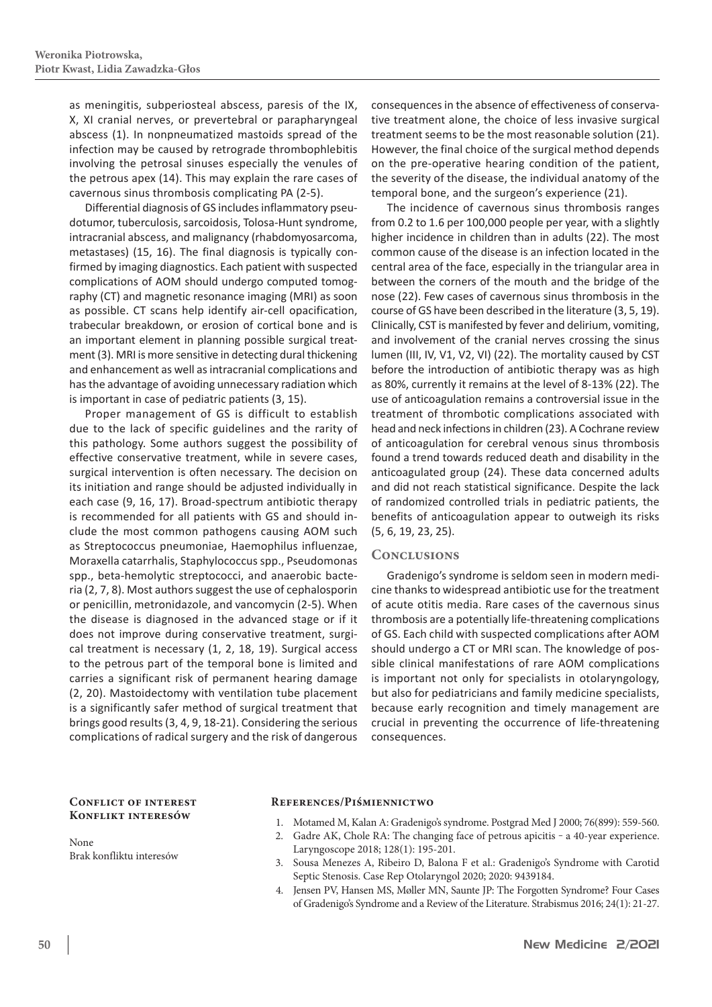as meningitis, subperiosteal abscess, paresis of the IX, X, XI cranial nerves, or prevertebral or parapharyngeal abscess (1). In nonpneumatized mastoids spread of the infection may be caused by retrograde thrombophlebitis involving the petrosal sinuses especially the venules of the petrous apex (14). This may explain the rare cases of cavernous sinus thrombosis complicating PA (2-5).

Differential diagnosis of GS includes inflammatory pseudotumor, tuberculosis, sarcoidosis, Tolosa-Hunt syndrome, intracranial abscess, and malignancy (rhabdomyosarcoma, metastases) (15, 16). The final diagnosis is typically confirmed by imaging diagnostics. Each patient with suspected complications of AOM should undergo computed tomography (CT) and magnetic resonance imaging (MRI) as soon as possible. CT scans help identify air-cell opacification, trabecular breakdown, or erosion of cortical bone and is an important element in planning possible surgical treatment(3). MRI is more sensitive in detecting dural thickening and enhancement as well as intracranial complications and has the advantage of avoiding unnecessary radiation which is important in case of pediatric patients (3, 15).

Proper management of GS is difficult to establish due to the lack of specific guidelines and the rarity of this pathology. Some authors suggest the possibility of effective conservative treatment, while in severe cases, surgical intervention is often necessary. The decision on its initiation and range should be adjusted individually in each case (9, 16, 17). Broad-spectrum antibiotic therapy is recommended for all patients with GS and should include the most common pathogens causing AOM such as Streptococcus pneumoniae, Haemophilus influenzae, Moraxella catarrhalis, Staphylococcus spp., Pseudomonas spp., beta-hemolytic streptococci, and anaerobic bacteria (2, 7, 8). Most authors suggest the use of cephalosporin or penicillin, metronidazole, and vancomycin (2-5). When the disease is diagnosed in the advanced stage or if it does not improve during conservative treatment, surgical treatment is necessary (1, 2, 18, 19). Surgical access to the petrous part of the temporal bone is limited and carries a significant risk of permanent hearing damage (2, 20). Mastoidectomy with ventilation tube placement is a significantly safer method of surgical treatment that brings good results(3, 4, 9, 18-21). Considering the serious complications of radical surgery and the risk of dangerous

consequences in the absence of effectiveness of conservative treatment alone, the choice of less invasive surgical treatment seems to be the most reasonable solution (21). However, the final choice of the surgical method depends on the pre-operative hearing condition of the patient, the severity of the disease, the individual anatomy of the temporal bone, and the surgeon's experience (21).

The incidence of cavernous sinus thrombosis ranges from 0.2 to 1.6 per 100,000 people per year, with a slightly higher incidence in children than in adults (22). The most common cause of the disease is an infection located in the central area of the face, especially in the triangular area in between the corners of the mouth and the bridge of the nose (22). Few cases of cavernous sinus thrombosis in the course of GS have been described in the literature (3, 5, 19). Clinically, CST is manifested by fever and delirium, vomiting, and involvement of the cranial nerves crossing the sinus lumen (III, IV, V1, V2, VI) (22). The mortality caused by CST before the introduction of antibiotic therapy was as high as 80%, currently it remains at the level of 8-13% (22). The use of anticoagulation remains a controversial issue in the treatment of thrombotic complications associated with head and neck infections in children (23). A Cochrane review of anticoagulation for cerebral venous sinus thrombosis found a trend towards reduced death and disability in the anticoagulated group (24). These data concerned adults and did not reach statistical significance. Despite the lack of randomized controlled trials in pediatric patients, the benefits of anticoagulation appear to outweigh its risks (5, 6, 19, 23, 25).

# **Conclusions**

Gradenigo's syndrome is seldom seen in modern medicine thanks to widespread antibiotic use for the treatment of acute otitis media. Rare cases of the cavernous sinus thrombosis are a potentially life-threatening complications of GS. Each child with suspected complications after AOM should undergo a CT or MRI scan. The knowledge of possible clinical manifestations of rare AOM complications is important not only for specialists in otolaryngology, but also for pediatricians and family medicine specialists, because early recognition and timely management are crucial in preventing the occurrence of life-threatening consequences.

## **Conflict of interest Konflikt interesów**

None Brak konfliktu interesów

### **References/Piśmiennictwo**

- 1. Motamed M, Kalan A: Gradenigo's syndrome. Postgrad Med J 2000; 76(899): 559-560.
- 2. Gadre AK, Chole RA: The changing face of petrous apicitis a 40-year experience. Laryngoscope 2018; 128(1): 195-201.
- 3. Sousa Menezes A, Ribeiro D, Balona F et al.: Gradenigo's Syndrome with Carotid Septic Stenosis. Case Rep Otolaryngol 2020; 2020: 9439184.
- 4. Jensen PV, Hansen MS, Møller MN, Saunte JP: The Forgotten Syndrome? Four Cases of Gradenigo's Syndrome and a Review of the Literature. Strabismus 2016; 24(1): 21-27.